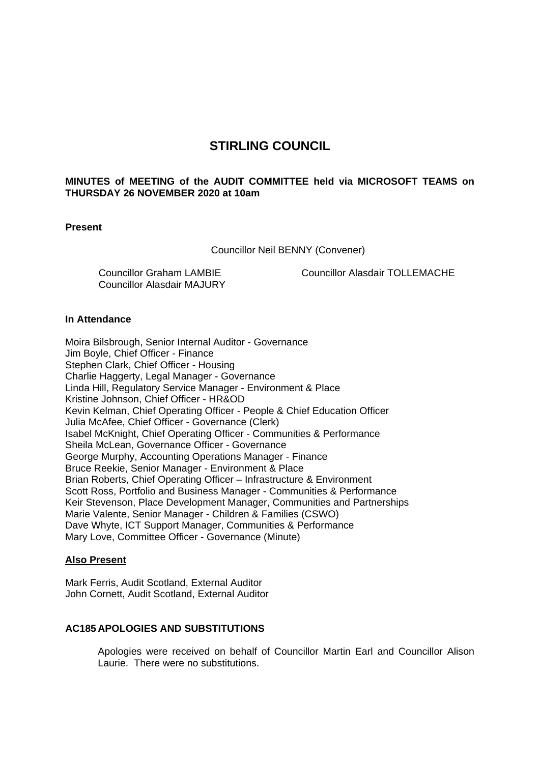# **STIRLING COUNCIL**

# **MINUTES of MEETING of the AUDIT COMMITTEE held via MICROSOFT TEAMS on THURSDAY 26 NOVEMBER 2020 at 10am**

### **Present**

Councillor Neil BENNY (Convener)

Councillor Graham LAMBIE Councillor Alasdair MAJURY Councillor Alasdair TOLLEMACHE

## **In Attendance**

Moira Bilsbrough, Senior Internal Auditor - Governance Jim Boyle, Chief Officer - Finance Stephen Clark, Chief Officer - Housing Charlie Haggerty, Legal Manager - Governance Linda Hill, Regulatory Service Manager - Environment & Place Kristine Johnson, Chief Officer - HR&OD Kevin Kelman, Chief Operating Officer - People & Chief Education Officer Julia McAfee, Chief Officer - Governance (Clerk) Isabel McKnight, Chief Operating Officer - Communities & Performance Sheila McLean, Governance Officer - Governance George Murphy, Accounting Operations Manager - Finance Bruce Reekie, Senior Manager - Environment & Place Brian Roberts, Chief Operating Officer – Infrastructure & Environment Scott Ross, Portfolio and Business Manager - Communities & Performance Keir Stevenson, Place Development Manager, Communities and Partnerships Marie Valente, Senior Manager - Children & Families (CSWO) Dave Whyte, ICT Support Manager, Communities & Performance Mary Love, Committee Officer - Governance (Minute)

### **Also Present**

Mark Ferris, Audit Scotland, External Auditor John Cornett, Audit Scotland, External Auditor

### **AC185 APOLOGIES AND SUBSTITUTIONS**

Apologies were received on behalf of Councillor Martin Earl and Councillor Alison Laurie. There were no substitutions.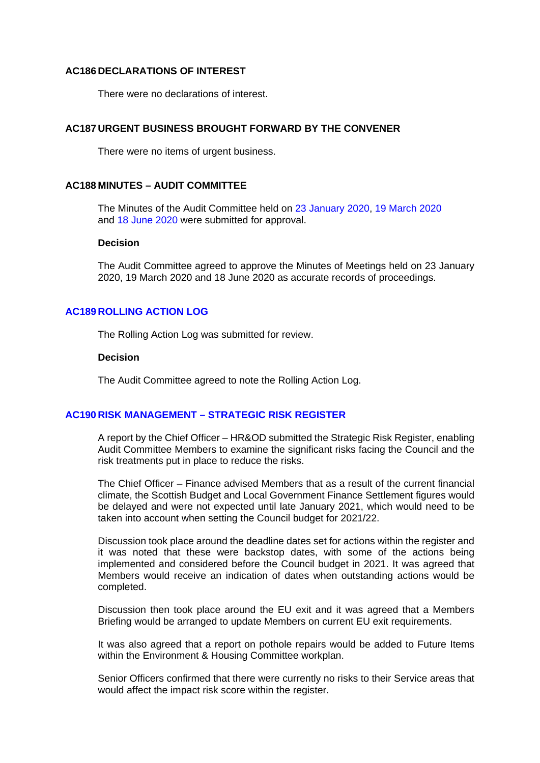#### **AC186 DECLARATIONS OF INTEREST**

There were no declarations of interest.

## **AC187 URGENT BUSINESS BROUGHT FORWARD BY THE CONVENER**

There were no items of urgent business.

### **AC188 MINUTES – AUDIT COMMITTEE**

The Minutes of the Audit Committee held on 23 January 2020, 19 March 2020 and 18 June 2020 were submitted for approval.

#### **Decision**

The Audit Committee agreed to approve the Minutes of Meetings held on 23 January 2020, 19 March 2020 and 18 June 2020 as accurate records of proceedings.

#### **AC189 ROLLING ACTION LOG**

The Rolling Action Log was submitted for review.

#### **Decision**

The Audit Committee agreed to note the Rolling Action Log.

#### **AC190 RISK MANAGEMENT – STRATEGIC RISK REGISTER**

A report by the Chief Officer – HR&OD submitted the Strategic Risk Register, enabling Audit Committee Members to examine the significant risks facing the Council and the risk treatments put in place to reduce the risks.

The Chief Officer – Finance advised Members that as a result of the current financial climate, the Scottish Budget and Local Government Finance Settlement figures would be delayed and were not expected until late January 2021, which would need to be taken into account when setting the Council budget for 2021/22.

Discussion took place around the deadline dates set for actions within the register and it was noted that these were backstop dates, with some of the actions being implemented and considered before the Council budget in 2021. It was agreed that Members would receive an indication of dates when outstanding actions would be completed.

Discussion then took place around the EU exit and it was agreed that a Members Briefing would be arranged to update Members on current EU exit requirements.

It was also agreed that a report on pothole repairs would be added to Future Items within the Environment & Housing Committee workplan.

Senior Officers confirmed that there were currently no risks to their Service areas that would affect the impact risk score within the register.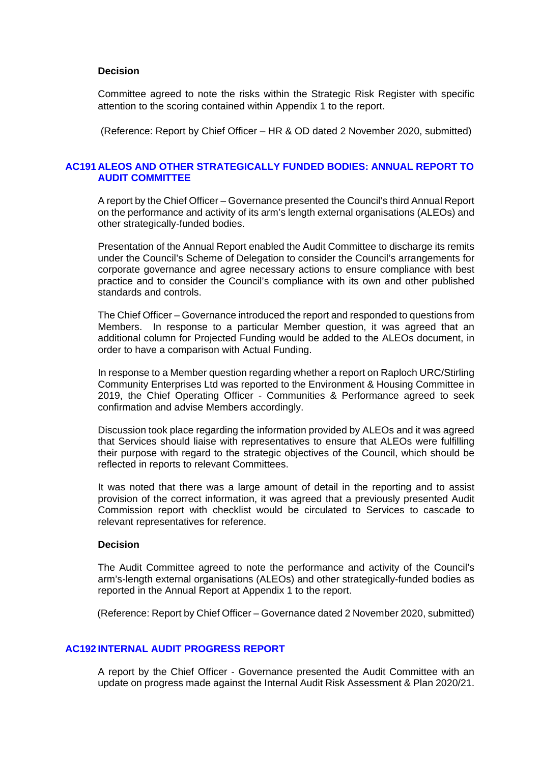#### **Decision**

Committee agreed to note the risks within the Strategic Risk Register with specific attention to the scoring contained within Appendix 1 to the report.

(Reference: Report by Chief Officer – HR & OD dated 2 November 2020, submitted)

### **AC191 ALEOS AND OTHER STRATEGICALLY FUNDED BODIES: ANNUAL REPORT TO AUDIT COMMITTEE**

A report by the Chief Officer – Governance presented the Council's third Annual Report on the performance and activity of its arm's length external organisations (ALEOs) and other strategically-funded bodies.

Presentation of the Annual Report enabled the Audit Committee to discharge its remits under the Council's Scheme of Delegation to consider the Council's arrangements for corporate governance and agree necessary actions to ensure compliance with best practice and to consider the Council's compliance with its own and other published standards and controls.

The Chief Officer – Governance introduced the report and responded to questions from Members. In response to a particular Member question, it was agreed that an additional column for Projected Funding would be added to the ALEOs document, in order to have a comparison with Actual Funding.

In response to a Member question regarding whether a report on Raploch URC/Stirling Community Enterprises Ltd was reported to the Environment & Housing Committee in 2019, the Chief Operating Officer - Communities & Performance agreed to seek confirmation and advise Members accordingly.

Discussion took place regarding the information provided by ALEOs and it was agreed that Services should liaise with representatives to ensure that ALEOs were fulfilling their purpose with regard to the strategic objectives of the Council, which should be reflected in reports to relevant Committees.

It was noted that there was a large amount of detail in the reporting and to assist provision of the correct information, it was agreed that a previously presented Audit Commission report with checklist would be circulated to Services to cascade to relevant representatives for reference.

#### **Decision**

The Audit Committee agreed to note the performance and activity of the Council's arm's-length external organisations (ALEOs) and other strategically-funded bodies as reported in the Annual Report at Appendix 1 to the report.

(Reference: Report by Chief Officer – Governance dated 2 November 2020, submitted)

### **AC192 INTERNAL AUDIT PROGRESS REPORT**

A report by the Chief Officer - Governance presented the Audit Committee with an update on progress made against the Internal Audit Risk Assessment & Plan 2020/21.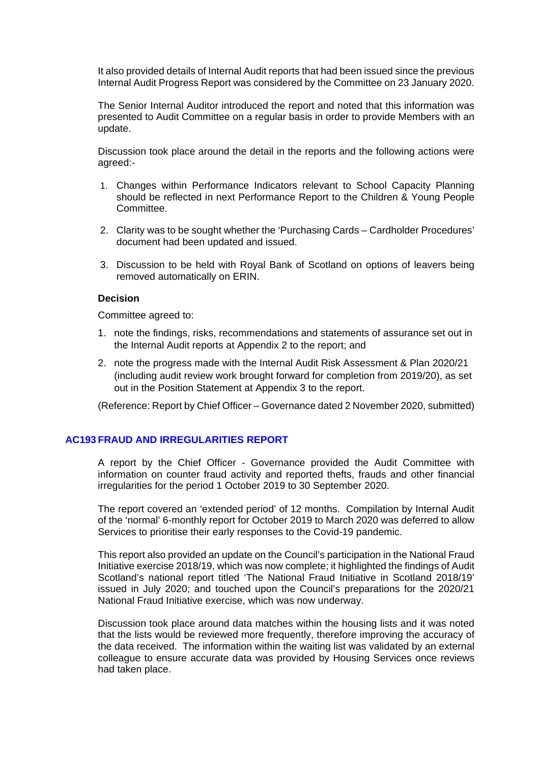It also provided details of Internal Audit reports that had been issued since the previous Internal Audit Progress Report was considered by the Committee on 23 January 2020.

The Senior Internal Auditor introduced the report and noted that this information was presented to Audit Committee on a regular basis in order to provide Members with an update.

Discussion took place around the detail in the reports and the following actions were agreed:-

- 1. Changes within Performance Indicators relevant to School Capacity Planning should be reflected in next Performance Report to the Children & Young People Committee.
- 2. Clarity was to be sought whether the 'Purchasing Cards Cardholder Procedures' document had been updated and issued.
- 3. Discussion to be held with Royal Bank of Scotland on options of leavers being removed automatically on ERIN.

### **Decision**

Committee agreed to:

- 1. note the findings, risks, recommendations and statements of assurance set out in the Internal Audit reports at Appendix 2 to the report; and
- 2. note the progress made with the Internal Audit Risk Assessment & Plan 2020/21 (including audit review work brought forward for completion from 2019/20), as set out in the Position Statement at Appendix 3 to the report.

(Reference: Report by Chief Officer – Governance dated 2 November 2020, submitted)

### **AC193 FRAUD AND IRREGULARITIES REPORT**

A report by the Chief Officer - Governance provided the Audit Committee with information on counter fraud activity and reported thefts, frauds and other financial irregularities for the period 1 October 2019 to 30 September 2020.

The report covered an 'extended period' of 12 months. Compilation by Internal Audit of the 'normal' 6-monthly report for October 2019 to March 2020 was deferred to allow Services to prioritise their early responses to the Covid-19 pandemic.

This report also provided an update on the Council's participation in the National Fraud Initiative exercise 2018/19, which was now complete; it highlighted the findings of Audit Scotland's national report titled 'The National Fraud Initiative in Scotland 2018/19' issued in July 2020; and touched upon the Council's preparations for the 2020/21 National Fraud Initiative exercise, which was now underway.

Discussion took place around data matches within the housing lists and it was noted that the lists would be reviewed more frequently, therefore improving the accuracy of the data received. The information within the waiting list was validated by an external colleague to ensure accurate data was provided by Housing Services once reviews had taken place.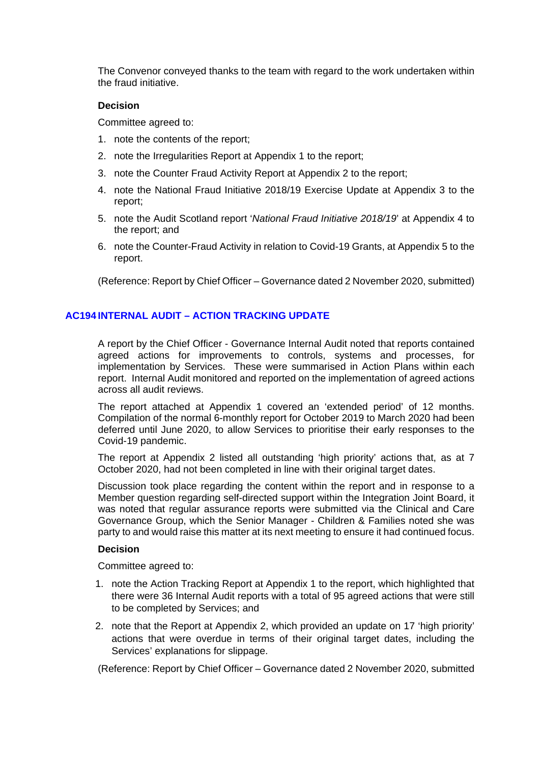The Convenor conveyed thanks to the team with regard to the work undertaken within the fraud initiative.

# **Decision**

Committee agreed to:

- 1. note the contents of the report;
- 2. note the Irregularities Report at Appendix 1 to the report;
- 3. note the Counter Fraud Activity Report at Appendix 2 to the report;
- 4. note the National Fraud Initiative 2018/19 Exercise Update at Appendix 3 to the report;
- 5. note the Audit Scotland report '*National Fraud Initiative 2018/19*' at Appendix 4 to the report; and
- 6. note the Counter-Fraud Activity in relation to Covid-19 Grants, at Appendix 5 to the report.

(Reference: Report by Chief Officer – Governance dated 2 November 2020, submitted)

# **AC194 INTERNAL AUDIT – ACTION TRACKING UPDATE**

A report by the Chief Officer - Governance Internal Audit noted that reports contained agreed actions for improvements to controls, systems and processes, for implementation by Services. These were summarised in Action Plans within each report. Internal Audit monitored and reported on the implementation of agreed actions across all audit reviews.

The report attached at Appendix 1 covered an 'extended period' of 12 months. Compilation of the normal 6-monthly report for October 2019 to March 2020 had been deferred until June 2020, to allow Services to prioritise their early responses to the Covid-19 pandemic.

The report at Appendix 2 listed all outstanding 'high priority' actions that, as at 7 October 2020, had not been completed in line with their original target dates.

Discussion took place regarding the content within the report and in response to a Member question regarding self-directed support within the Integration Joint Board, it was noted that regular assurance reports were submitted via the Clinical and Care Governance Group, which the Senior Manager - Children & Families noted she was party to and would raise this matter at its next meeting to ensure it had continued focus.

### **Decision**

Committee agreed to:

- 1. note the Action Tracking Report at Appendix 1 to the report, which highlighted that there were 36 Internal Audit reports with a total of 95 agreed actions that were still to be completed by Services; and
- 2. note that the Report at Appendix 2, which provided an update on 17 'high priority' actions that were overdue in terms of their original target dates, including the Services' explanations for slippage.

(Reference: Report by Chief Officer – Governance dated 2 November 2020, submitted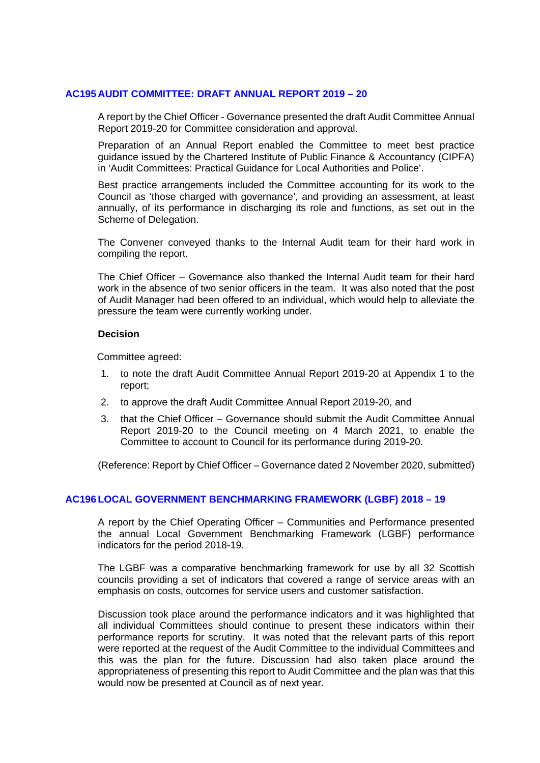# **AC195 AUDIT COMMITTEE: DRAFT ANNUAL REPORT 2019 – 20**

A report by the Chief Officer - Governance presented the draft Audit Committee Annual Report 2019-20 for Committee consideration and approval.

Preparation of an Annual Report enabled the Committee to meet best practice guidance issued by the Chartered Institute of Public Finance & Accountancy (CIPFA) in 'Audit Committees: Practical Guidance for Local Authorities and Police'.

Best practice arrangements included the Committee accounting for its work to the Council as 'those charged with governance', and providing an assessment, at least annually, of its performance in discharging its role and functions, as set out in the Scheme of Delegation.

The Convener conveyed thanks to the Internal Audit team for their hard work in compiling the report.

The Chief Officer – Governance also thanked the Internal Audit team for their hard work in the absence of two senior officers in the team. It was also noted that the post of Audit Manager had been offered to an individual, which would help to alleviate the pressure the team were currently working under.

### **Decision**

Committee agreed:

- 1. to note the draft Audit Committee Annual Report 2019-20 at Appendix 1 to the report;
- 2. to approve the draft Audit Committee Annual Report 2019-20, and
- 3. that the Chief Officer Governance should submit the Audit Committee Annual Report 2019-20 to the Council meeting on 4 March 2021, to enable the Committee to account to Council for its performance during 2019-20.

(Reference: Report by Chief Officer – Governance dated 2 November 2020, submitted)

### **AC196 LOCAL GOVERNMENT BENCHMARKING FRAMEWORK (LGBF) 2018 – 19**

A report by the Chief Operating Officer – Communities and Performance presented the annual Local Government Benchmarking Framework (LGBF) performance indicators for the period 2018-19.

The LGBF was a comparative benchmarking framework for use by all 32 Scottish councils providing a set of indicators that covered a range of service areas with an emphasis on costs, outcomes for service users and customer satisfaction.

Discussion took place around the performance indicators and it was highlighted that all individual Committees should continue to present these indicators within their performance reports for scrutiny. It was noted that the relevant parts of this report were reported at the request of the Audit Committee to the individual Committees and this was the plan for the future. Discussion had also taken place around the appropriateness of presenting this report to Audit Committee and the plan was that this would now be presented at Council as of next year.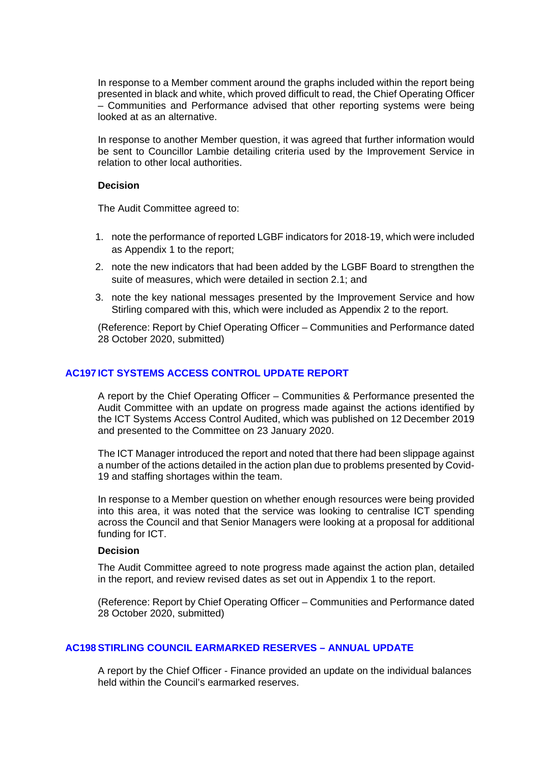In response to a Member comment around the graphs included within the report being presented in black and white, which proved difficult to read, the Chief Operating Officer – Communities and Performance advised that other reporting systems were being looked at as an alternative.

In response to another Member question, it was agreed that further information would be sent to Councillor Lambie detailing criteria used by the Improvement Service in relation to other local authorities.

### **Decision**

The Audit Committee agreed to:

- 1. note the performance of reported LGBF indicators for 2018-19, which were included as Appendix 1 to the report;
- 2. note the new indicators that had been added by the LGBF Board to strengthen the suite of measures, which were detailed in section 2.1; and
- 3. note the key national messages presented by the Improvement Service and how Stirling compared with this, which were included as Appendix 2 to the report.

(Reference: Report by Chief Operating Officer – Communities and Performance dated 28 October 2020, submitted)

## **AC197 ICT SYSTEMS ACCESS CONTROL UPDATE REPORT**

A report by the Chief Operating Officer – Communities & Performance presented the Audit Committee with an update on progress made against the actions identified by the ICT Systems Access Control Audited, which was published on 12 December 2019 and presented to the Committee on 23 January 2020.

The ICT Manager introduced the report and noted that there had been slippage against a number of the actions detailed in the action plan due to problems presented by Covid-19 and staffing shortages within the team.

In response to a Member question on whether enough resources were being provided into this area, it was noted that the service was looking to centralise ICT spending across the Council and that Senior Managers were looking at a proposal for additional funding for ICT.

### **Decision**

The Audit Committee agreed to note progress made against the action plan, detailed in the report, and review revised dates as set out in Appendix 1 to the report.

(Reference: Report by Chief Operating Officer – Communities and Performance dated 28 October 2020, submitted)

### **AC198STIRLING COUNCIL EARMARKED RESERVES – ANNUAL UPDATE**

A report by the Chief Officer - Finance provided an update on the individual balances held within the Council's earmarked reserves.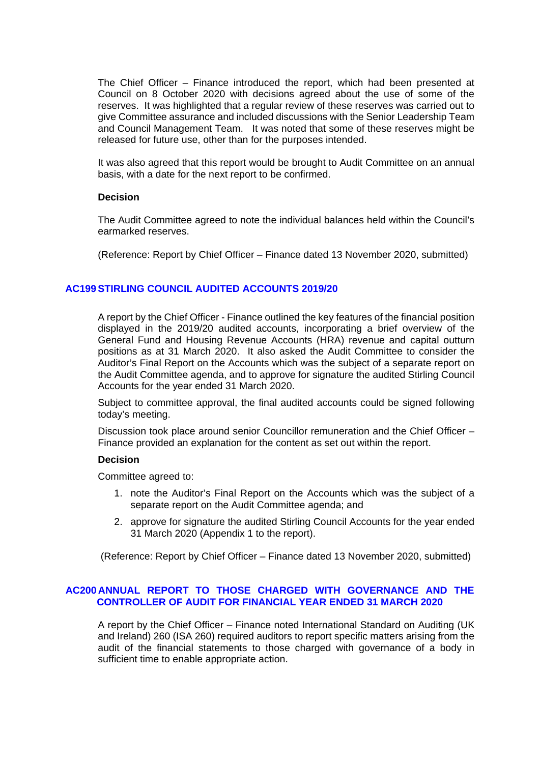The Chief Officer – Finance introduced the report, which had been presented at Council on 8 October 2020 with decisions agreed about the use of some of the reserves. It was highlighted that a regular review of these reserves was carried out to give Committee assurance and included discussions with the Senior Leadership Team and Council Management Team. It was noted that some of these reserves might be released for future use, other than for the purposes intended.

It was also agreed that this report would be brought to Audit Committee on an annual basis, with a date for the next report to be confirmed.

### **Decision**

The Audit Committee agreed to note the individual balances held within the Council's earmarked reserves.

(Reference: Report by Chief Officer – Finance dated 13 November 2020, submitted)

# **AC199STIRLING COUNCIL AUDITED ACCOUNTS 2019/20**

A report by the Chief Officer - Finance outlined the key features of the financial position displayed in the 2019/20 audited accounts, incorporating a brief overview of the General Fund and Housing Revenue Accounts (HRA) revenue and capital outturn positions as at 31 March 2020. It also asked the Audit Committee to consider the Auditor's Final Report on the Accounts which was the subject of a separate report on the Audit Committee agenda, and to approve for signature the audited Stirling Council Accounts for the year ended 31 March 2020.

Subject to committee approval, the final audited accounts could be signed following today's meeting.

Discussion took place around senior Councillor remuneration and the Chief Officer – Finance provided an explanation for the content as set out within the report.

### **Decision**

Committee agreed to:

- 1. note the Auditor's Final Report on the Accounts which was the subject of a separate report on the Audit Committee agenda; and
- 2. approve for signature the audited Stirling Council Accounts for the year ended 31 March 2020 (Appendix 1 to the report).

(Reference: Report by Chief Officer – Finance dated 13 November 2020, submitted)

# **AC200 ANNUAL REPORT TO THOSE CHARGED WITH GOVERNANCE AND THE CONTROLLER OF AUDIT FOR FINANCIAL YEAR ENDED 31 MARCH 2020**

A report by the Chief Officer – Finance noted International Standard on Auditing (UK and Ireland) 260 (ISA 260) required auditors to report specific matters arising from the audit of the financial statements to those charged with governance of a body in sufficient time to enable appropriate action.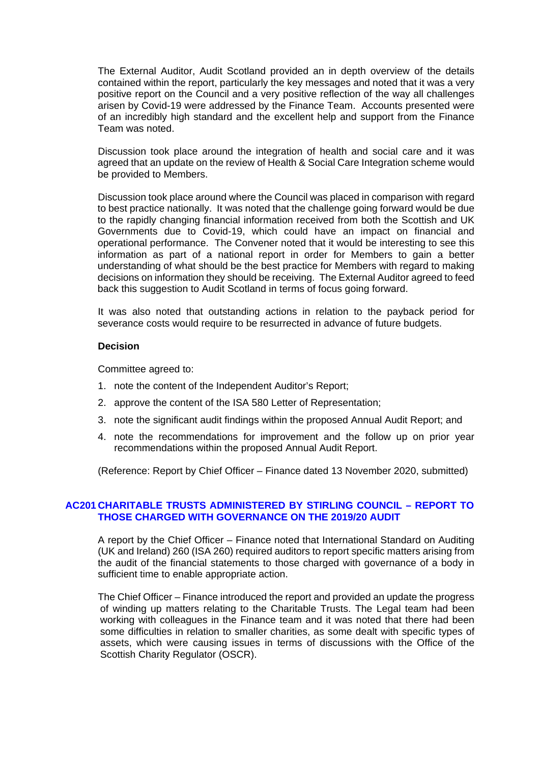The External Auditor, Audit Scotland provided an in depth overview of the details contained within the report, particularly the key messages and noted that it was a very positive report on the Council and a very positive reflection of the way all challenges arisen by Covid-19 were addressed by the Finance Team. Accounts presented were of an incredibly high standard and the excellent help and support from the Finance Team was noted.

Discussion took place around the integration of health and social care and it was agreed that an update on the review of Health & Social Care Integration scheme would be provided to Members.

Discussion took place around where the Council was placed in comparison with regard to best practice nationally. It was noted that the challenge going forward would be due to the rapidly changing financial information received from both the Scottish and UK Governments due to Covid-19, which could have an impact on financial and operational performance. The Convener noted that it would be interesting to see this information as part of a national report in order for Members to gain a better understanding of what should be the best practice for Members with regard to making decisions on information they should be receiving. The External Auditor agreed to feed back this suggestion to Audit Scotland in terms of focus going forward.

It was also noted that outstanding actions in relation to the payback period for severance costs would require to be resurrected in advance of future budgets.

#### **Decision**

Committee agreed to:

- 1. note the content of the Independent Auditor's Report;
- 2. approve the content of the ISA 580 Letter of Representation;
- 3. note the significant audit findings within the proposed Annual Audit Report; and
- 4. note the recommendations for improvement and the follow up on prior year recommendations within the proposed Annual Audit Report.

(Reference: Report by Chief Officer – Finance dated 13 November 2020, submitted)

### **AC201 CHARITABLE TRUSTS ADMINISTERED BY STIRLING COUNCIL – REPORT TO THOSE CHARGED WITH GOVERNANCE ON THE 2019/20 AUDIT**

A report by the Chief Officer – Finance noted that International Standard on Auditing (UK and Ireland) 260 (ISA 260) required auditors to report specific matters arising from the audit of the financial statements to those charged with governance of a body in sufficient time to enable appropriate action.

The Chief Officer – Finance introduced the report and provided an update the progress of winding up matters relating to the Charitable Trusts. The Legal team had been working with colleagues in the Finance team and it was noted that there had been some difficulties in relation to smaller charities, as some dealt with specific types of assets, which were causing issues in terms of discussions with the Office of the Scottish Charity Regulator (OSCR).